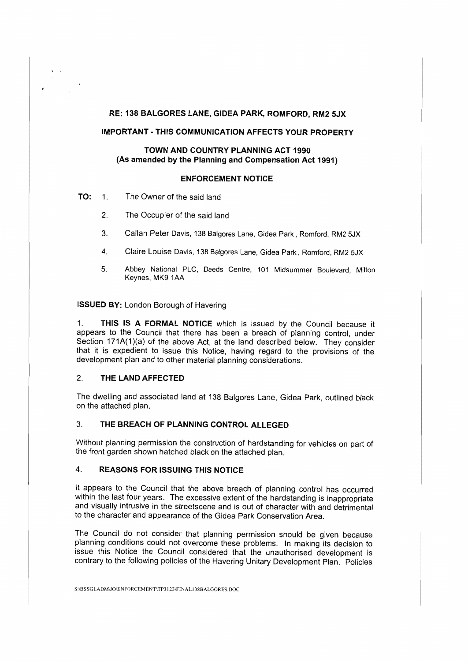### **RE: 138 BALGORES LANE, GIDEA PARK, ROMFORD, RM2 SJX**

# **IMPORTANT - THIS COMMUNICATION AFFECTS YOUR PROPERTY**

# **TOWN AND COUNTRY PLANNING ACT 1990 (As amended by the Planning and Compensation Act 1991)**

#### **ENFORCEMENT NOTICE**

**TO:** 1. The Owner of the said land

..

- 2. The Occupier of the said land
- 3. Callan Peter Davis, 138 Balgores Lane, Gidea Park, Romford, RM2 5JX
- 4. Claire Louise Davis, 138 Balgores Lane, Gidea Park, Romford, RM2 5JX
- 5. Abbey National PLC, Deeds Centre, 101 Midsummer Boulevard, Milton Keynes, MK9 1AA

**ISSUED BY:** London Borough of Havering

1. **THIS IS A FORMAL NOTICE** which is issued by the Council because it appears to the Council that there has been a breach of planning control, under Section 171A(1)(a) of the above Act, at the land described below. They consider that it is expedient to issue this Notice, having regard to the provisions of the development plan and to other material planning considerations.

# 2. **THE LAND AFFECTED**

The dwelling and associated land at 138 Balgores Lane, Gidea Park, outlined black on the attached plan.

# 3. **THE BREACH OF PLANNING CONTROL ALLEGED**

Without planning permission the construction of hardstanding for vehicles an part of the front garden shown hatched black on the attached plan.

# 4. **REASONS FOR ISSUING THIS NOTICE**

It appears to the Council that the above breach of planning control has occurred within the last four years. The excessive extent of the hardstanding is inappropriate and visually intrusive in the streetscene and is out of character with and detrimental to the character and appearance of the Gidea Park Conservation Area.

The Council do not consider that planning permission should be given because planning conditions could not overcome these problems. In making its decision to issue this Notice the Council considered that the unauthorised development is contrary to the following policies of the Havering Unitary Development Plan. Policies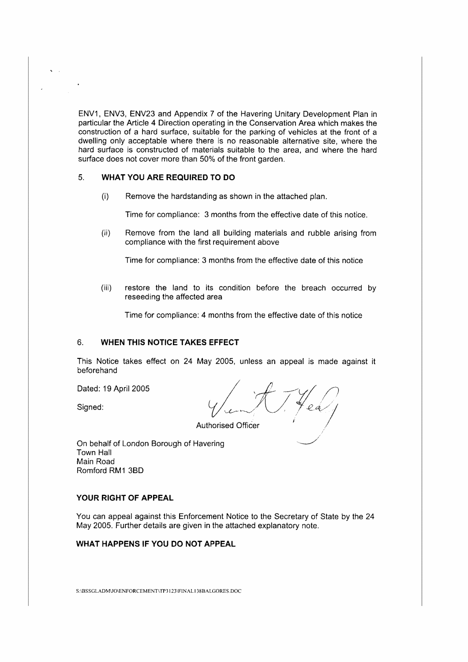ENV1, ENV3, ENV23 and Appendix 7 of the Havering Unitary Development Plan in particular the Article 4 Direction operating in the Conservation Area which makes the construction of a hard surface, suitable for the parking of vehicles at the front of a dwelling only acceptable where there is no reasonable alternative site, where the hard surface is constructed of materials suitable to the area, and where the hard surface does not cover more than 50% of the front garden.

# 5. **WHAT YOU ARE REQUIRED TO DO**

(i) Remove the hardstanding as shown in the attached plan.

Time for compliance: 3 months from the effective date of this notice.

(ii) Remove from the land all building materials and rubble arising from compliance with the first requirement above

Time for compliance: 3 months from the effective date of this notice

(iii) restore the land to its condition before the breach occurred by reseeding the affected area

Time for compliance: 4 months from the effective date of this notice

#### 6. **WHEN THIS NOTICE TAKES EFFECT**

This Notice takes effect on 24 May 2005, unless an appeal is made against it beforehand

Dated: 19 April 2005 *I ,if* 7~/) Signed: *cr/4-,\_/(/ / ~A//*  .

Authorised Officer

On behalf of London Borough of Havering Town Hall Main Road Romford RM1 380

# **YOUR RIGHT OF APPEAL**

You can appeal against this Enforcement Notice to the Secretary of State by the 24 May 2005. Further details are given in the attached explanatory note.

# **WHAT HAPPENS IF YOU DO NOT APPEAL**

S:\BSSGLADM\JOIENFORCEMENTITP3123\FINAL I 38BALGORES.DOC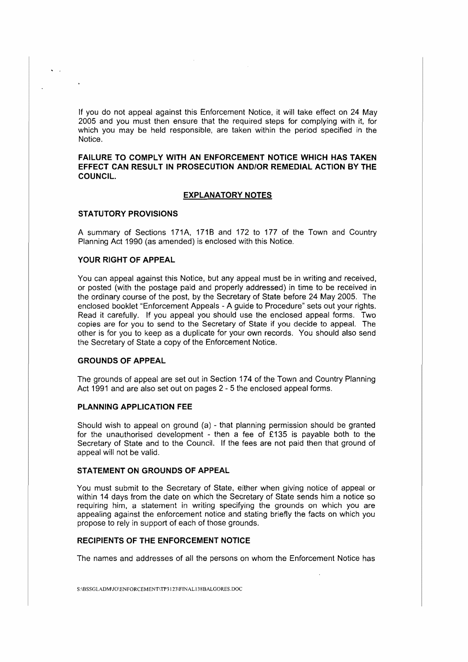lf you do not appeal against this Enforcement Notice, it will take effect on 24 May 2005 and you must then ensure that the required steps for complying with it, for which you may be held responsible, are taken within the period specified in the Notice.

**FAILURE TO COMPLY WITH AN ENFORCEMENT NOTICE WHICH HAS TAKEN EFFECT CAN RESULT IN PROSECUTION AND/OR REMEDIAL ACTION BY THE COUNCIL.** 

#### **EXPLANATORY NOTES**

#### **STATUTORY PROVISIONS**

A summary of Sections 171A, 1718 and 172 to 177 of the Town and Country Planning Act 1990 (as amended) is enclosed with this Notice.

### **YOUR RIGHT OF APPEAL**

You can appeal against this Notice, but any appeal must be in writing and received, or posted (with the postage paid and properly addressed) in time to be received in the ordinary course of the post, by the Secretary of State before 24 May 2005. The enclosed booklet "Enforcement Appeals - A guide to Procedure" sets out your rights. Read it carefully. If you appeal you should use the enclosed appeal forms. Two copies are for you to send to the Secretary of State if you decide to appeal. The other is for you to keep as a duplicate for your own records. You should also send the Secretary of State a copy of the Enforcement Notice.

### **GROUNDS OF APPEAL**

The grounds of appeal are set out in Section 174 of the Town and Country Planning Act 1991 and are also set out on pages 2 - 5 the enclosed appeal forms.

#### **PLANNING APPLICATION FEE**

Should wish to appeal on ground (a) - that planning permission should be granted for the unauthorised development - then a fee of £135 is payable both to the Secretary of State and to the Council. If the fees are not paid then that ground of appeal will not be valid.

#### **STATEMENT ON GROUNDS OF APPEAL**

You must submit to the Secretary of State, either when giving notice of appeal or within 14 days from the date on which the Secretary of State sends him a notice so requiring him, a statement in writing specifying the grounds on which you are appealing against the enforcement notice and stating briefly the facts on which you propose to rely in support of each of those grounds.

# **RECIPIENTS OF THE ENFORCEMENT NOTICE**

The names and addresses of all the persons on whom the Enforcement Notice has

S:\BSSGLADMJO\ENFORCEMENT\TP3123\FINAL138BALGORES.DOC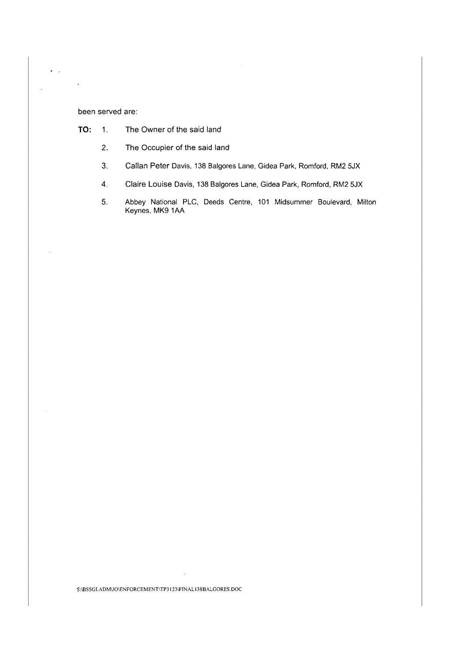### been served are:

 $\star$   $\sim$ 

 $\overline{\phantom{a}}$ 

 $\downarrow$ 

- **TO:** 1. The Owner of the said land
	- 2. The Occupier of the said land
	- 3. Callan Peter Davis, 138 Balgores Lane, Gidea Park, Romford, RM2 SJX
	- 4. Claire Louise Davis, 138 Balgores Lane, Gidea Park, Romford, RM2 SJX
	- 5. Abbey National PLC, Deeds Centre, 101 Midsummer Boulevard, Milton Keynes, MK9 1AA